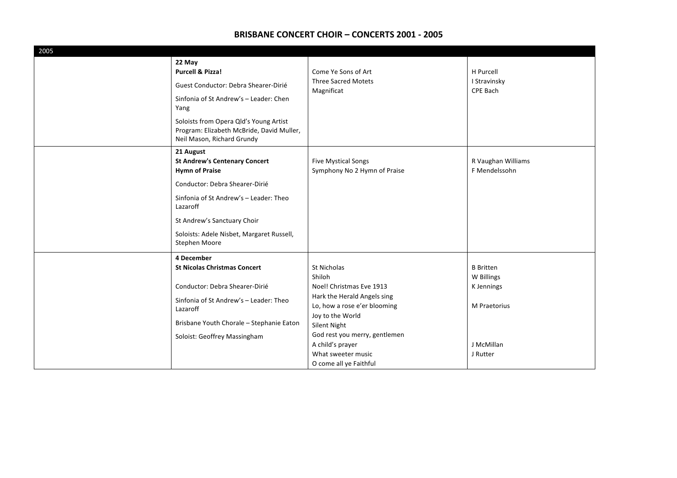| 2005 |                                                                                                                   |                                                             |                          |
|------|-------------------------------------------------------------------------------------------------------------------|-------------------------------------------------------------|--------------------------|
|      | 22 May                                                                                                            |                                                             |                          |
|      | <b>Purcell &amp; Pizza!</b>                                                                                       | Come Ye Sons of Art                                         | H Purcell                |
|      | Guest Conductor: Debra Shearer-Dirié                                                                              | <b>Three Sacred Motets</b><br>Magnificat                    | I Stravinsky<br>CPE Bach |
|      | Sinfonia of St Andrew's - Leader: Chen<br>Yang                                                                    |                                                             |                          |
|      | Soloists from Opera Qld's Young Artist<br>Program: Elizabeth McBride, David Muller,<br>Neil Mason, Richard Grundy |                                                             |                          |
|      | 21 August                                                                                                         |                                                             |                          |
|      | <b>St Andrew's Centenary Concert</b>                                                                              | <b>Five Mystical Songs</b>                                  | R Vaughan Williams       |
|      | <b>Hymn of Praise</b>                                                                                             | Symphony No 2 Hymn of Praise                                | F Mendelssohn            |
|      | Conductor: Debra Shearer-Dirié                                                                                    |                                                             |                          |
|      | Sinfonia of St Andrew's - Leader: Theo<br>Lazaroff                                                                |                                                             |                          |
|      | St Andrew's Sanctuary Choir                                                                                       |                                                             |                          |
|      | Soloists: Adele Nisbet, Margaret Russell,<br>Stephen Moore                                                        |                                                             |                          |
|      | 4 December                                                                                                        |                                                             |                          |
|      | <b>St Nicolas Christmas Concert</b>                                                                               | St Nicholas                                                 | <b>B</b> Britten         |
|      |                                                                                                                   | Shiloh                                                      | W Billings               |
|      | Conductor: Debra Shearer-Dirié                                                                                    | Noel! Christmas Eve 1913                                    | K Jennings               |
|      | Sinfonia of St Andrew's - Leader: Theo                                                                            | Hark the Herald Angels sing<br>Lo, how a rose e'er blooming | M Praetorius             |
|      | Lazaroff                                                                                                          | Joy to the World                                            |                          |
|      | Brisbane Youth Chorale - Stephanie Eaton                                                                          | Silent Night                                                |                          |
|      | Soloist: Geoffrey Massingham                                                                                      | God rest you merry, gentlemen                               |                          |
|      |                                                                                                                   | A child's prayer                                            | J McMillan               |
|      |                                                                                                                   | What sweeter music                                          | J Rutter                 |
|      |                                                                                                                   | O come all ye Faithful                                      |                          |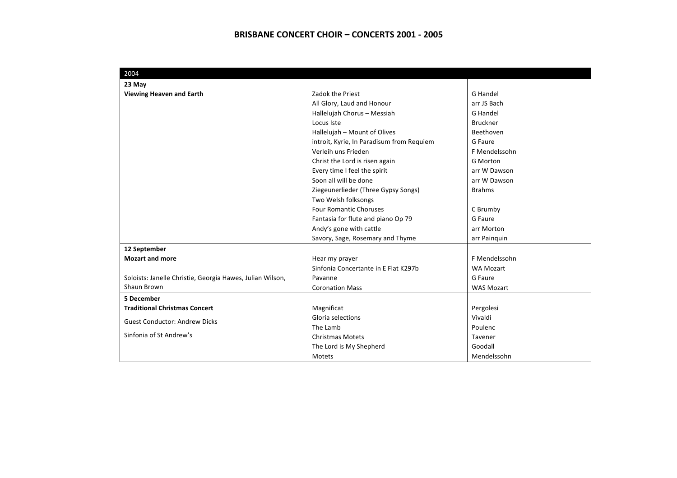| 2004                                                      |                                           |                   |
|-----------------------------------------------------------|-------------------------------------------|-------------------|
| 23 May                                                    |                                           |                   |
| <b>Viewing Heaven and Earth</b>                           | Zadok the Priest                          | <b>G</b> Handel   |
|                                                           | All Glory, Laud and Honour                | arr JS Bach       |
|                                                           | Hallelujah Chorus - Messiah               | G Handel          |
|                                                           | Locus Iste                                | <b>Bruckner</b>   |
|                                                           | Hallelujah - Mount of Olives              | Beethoven         |
|                                                           | introit, Kyrie, In Paradisum from Requiem | G Faure           |
|                                                           | Verleih uns Frieden                       | F Mendelssohn     |
|                                                           | Christ the Lord is risen again            | <b>G</b> Morton   |
|                                                           | Every time I feel the spirit              | arr W Dawson      |
|                                                           | Soon all will be done                     | arr W Dawson      |
|                                                           | Ziegeunerlieder (Three Gypsy Songs)       | <b>Brahms</b>     |
|                                                           | Two Welsh folksongs                       |                   |
|                                                           | <b>Four Romantic Choruses</b>             | C Brumby          |
|                                                           | Fantasia for flute and piano Op 79        | G Faure           |
|                                                           | Andy's gone with cattle                   | arr Morton        |
|                                                           | Savory, Sage, Rosemary and Thyme          | arr Painquin      |
| 12 September                                              |                                           |                   |
| <b>Mozart and more</b>                                    | Hear my prayer                            | F Mendelssohn     |
|                                                           | Sinfonia Concertante in E Flat K297b      | <b>WA Mozart</b>  |
| Soloists: Janelle Christie, Georgia Hawes, Julian Wilson, | Pavanne                                   | G Faure           |
| Shaun Brown                                               | <b>Coronation Mass</b>                    | <b>WAS Mozart</b> |
| 5 December                                                |                                           |                   |
| <b>Traditional Christmas Concert</b>                      | Magnificat                                | Pergolesi         |
| <b>Guest Conductor: Andrew Dicks</b>                      | Gloria selections                         | Vivaldi           |
|                                                           | The Lamb                                  | Poulenc           |
| Sinfonia of St Andrew's                                   | <b>Christmas Motets</b>                   | Tavener           |
|                                                           | The Lord is My Shepherd                   | Goodall           |
|                                                           | Motets                                    | Mendelssohn       |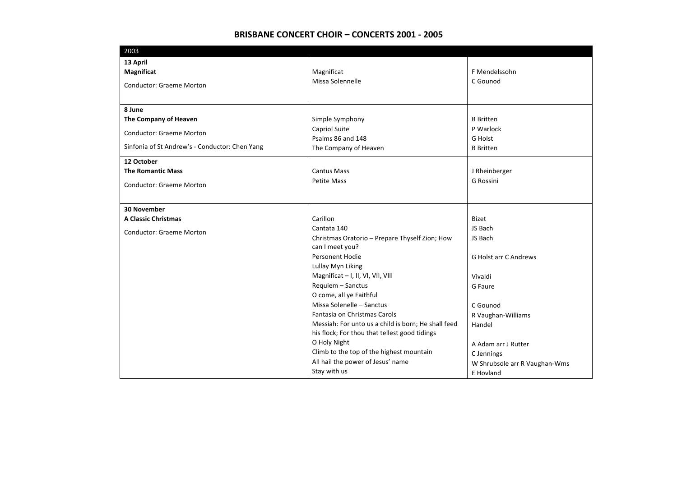| 2003                                           |                                                     |                               |
|------------------------------------------------|-----------------------------------------------------|-------------------------------|
| 13 April<br><b>Magnificat</b>                  | Magnificat                                          | F Mendelssohn                 |
|                                                | Missa Solennelle                                    | C Gounod                      |
| <b>Conductor: Graeme Morton</b>                |                                                     |                               |
|                                                |                                                     |                               |
| 8 June                                         |                                                     | <b>B</b> Britten              |
| The Company of Heaven                          | Simple Symphony<br>Capriol Suite                    | P Warlock                     |
| <b>Conductor: Graeme Morton</b>                | Psalms 86 and 148                                   | <b>G</b> Holst                |
| Sinfonia of St Andrew's - Conductor: Chen Yang | The Company of Heaven                               | <b>B</b> Britten              |
| 12 October                                     |                                                     |                               |
| <b>The Romantic Mass</b>                       | <b>Cantus Mass</b>                                  | J Rheinberger                 |
| <b>Conductor: Graeme Morton</b>                | <b>Petite Mass</b>                                  | G Rossini                     |
|                                                |                                                     |                               |
|                                                |                                                     |                               |
| <b>30 November</b>                             | Carillon                                            |                               |
| <b>A Classic Christmas</b>                     | Cantata 140                                         | <b>Bizet</b><br>JS Bach       |
| <b>Conductor: Graeme Morton</b>                | Christmas Oratorio - Prepare Thyself Zion; How      | JS Bach                       |
|                                                | can I meet you?                                     |                               |
|                                                | <b>Personent Hodie</b>                              | <b>G Holst arr C Andrews</b>  |
|                                                | Lullay Myn Liking                                   |                               |
|                                                | Magnificat - I, II, VI, VII, VIII                   | Vivaldi                       |
|                                                | Requiem - Sanctus                                   | G Faure                       |
|                                                | O come, all ye Faithful                             |                               |
|                                                | Missa Solenelle - Sanctus                           | C Gounod                      |
|                                                | Fantasia on Christmas Carols                        | R Vaughan-Williams            |
|                                                | Messiah: For unto us a child is born; He shall feed | Handel                        |
|                                                | his flock; For thou that tellest good tidings       |                               |
|                                                | O Holy Night                                        | A Adam arr J Rutter           |
|                                                | Climb to the top of the highest mountain            | C Jennings                    |
|                                                | All hail the power of Jesus' name                   | W Shrubsole arr R Vaughan-Wms |
|                                                | Stay with us                                        | E Hovland                     |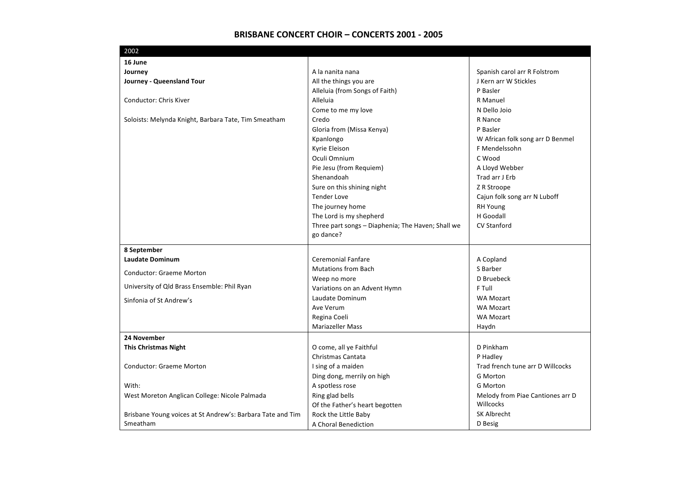| 2002                                                       |                                                   |                                  |
|------------------------------------------------------------|---------------------------------------------------|----------------------------------|
| 16 June                                                    |                                                   |                                  |
| Journey                                                    | A la nanita nana                                  | Spanish carol arr R Folstrom     |
| Journey - Queensland Tour                                  | All the things you are                            | J Kern arr W Stickles            |
|                                                            | Alleluia (from Songs of Faith)                    | P Basler                         |
| Conductor: Chris Kiver                                     | Alleluia                                          | R Manuel                         |
|                                                            | Come to me my love                                | N Dello Joio                     |
| Soloists: Melynda Knight, Barbara Tate, Tim Smeatham       | Credo                                             | R Nance                          |
|                                                            | Gloria from (Missa Kenya)                         | P Basler                         |
|                                                            | Kpanlongo                                         | W African folk song arr D Benmel |
|                                                            | Kyrie Eleison                                     | F Mendelssohn                    |
|                                                            | Oculi Omnium                                      | C Wood                           |
|                                                            | Pie Jesu (from Requiem)                           | A Lloyd Webber                   |
|                                                            | Shenandoah                                        | Trad arr J Erb                   |
|                                                            | Sure on this shining night                        | Z R Stroope                      |
|                                                            | <b>Tender Love</b>                                | Cajun folk song arr N Luboff     |
|                                                            | The journey home                                  | <b>RH Young</b>                  |
|                                                            | The Lord is my shepherd                           | H Goodall                        |
|                                                            | Three part songs - Diaphenia; The Haven; Shall we | <b>CV Stanford</b>               |
|                                                            | go dance?                                         |                                  |
| 8 September                                                |                                                   |                                  |
| <b>Laudate Dominum</b>                                     | Ceremonial Fanfare                                | A Copland                        |
|                                                            | <b>Mutations from Bach</b>                        | S Barber                         |
| <b>Conductor: Graeme Morton</b>                            | Weep no more                                      | D Bruebeck                       |
| University of Qld Brass Ensemble: Phil Ryan                | Variations on an Advent Hymn                      | F Tull                           |
| Sinfonia of St Andrew's                                    | Laudate Dominum                                   | <b>WA Mozart</b>                 |
|                                                            | Ave Verum                                         | <b>WA Mozart</b>                 |
|                                                            | Regina Coeli                                      | <b>WA Mozart</b>                 |
|                                                            | <b>Mariazeller Mass</b>                           | Haydn                            |
| 24 November                                                |                                                   |                                  |
| <b>This Christmas Night</b>                                | O come, all ye Faithful                           | D Pinkham                        |
|                                                            | Christmas Cantata                                 | P Hadley                         |
| <b>Conductor: Graeme Morton</b>                            | I sing of a maiden                                | Trad french tune arr D Willcocks |
|                                                            | Ding dong, merrily on high                        | <b>G</b> Morton                  |
| With:                                                      | A spotless rose                                   | <b>G</b> Morton                  |
| West Moreton Anglican College: Nicole Palmada              | Ring glad bells                                   | Melody from Piae Cantiones arr D |
|                                                            | Of the Father's heart begotten                    | Willcocks                        |
| Brisbane Young voices at St Andrew's: Barbara Tate and Tim | Rock the Little Baby                              | <b>SK Albrecht</b>               |
| Smeatham                                                   | A Choral Benediction                              | D Besig                          |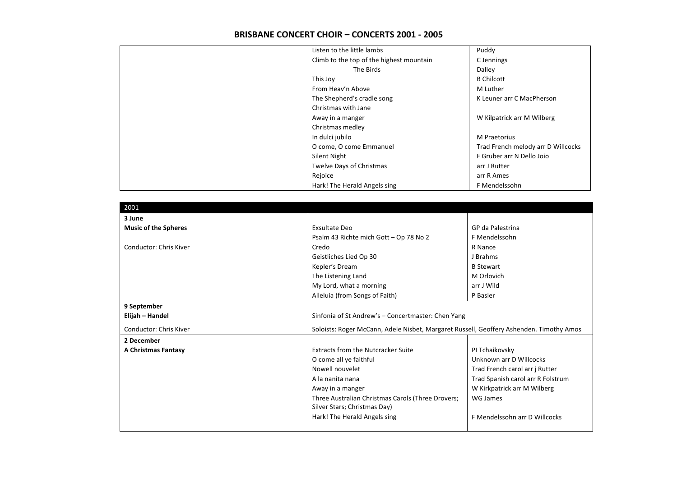|           | Puddy                                                                                                                                                                                                                                                                                                                     |
|-----------|---------------------------------------------------------------------------------------------------------------------------------------------------------------------------------------------------------------------------------------------------------------------------------------------------------------------------|
|           | C Jennings                                                                                                                                                                                                                                                                                                                |
| The Birds | Dalley                                                                                                                                                                                                                                                                                                                    |
|           | <b>B</b> Chilcott                                                                                                                                                                                                                                                                                                         |
|           | M Luther                                                                                                                                                                                                                                                                                                                  |
|           | K Leuner arr C MacPherson                                                                                                                                                                                                                                                                                                 |
|           |                                                                                                                                                                                                                                                                                                                           |
|           | W Kilpatrick arr M Wilberg                                                                                                                                                                                                                                                                                                |
|           |                                                                                                                                                                                                                                                                                                                           |
|           | M Praetorius                                                                                                                                                                                                                                                                                                              |
|           | Trad French melody arr D Willcocks                                                                                                                                                                                                                                                                                        |
|           | F Gruber arr N Dello Joio                                                                                                                                                                                                                                                                                                 |
|           | arr J Rutter                                                                                                                                                                                                                                                                                                              |
|           | arr R Ames                                                                                                                                                                                                                                                                                                                |
|           | F Mendelssohn                                                                                                                                                                                                                                                                                                             |
|           | Listen to the little lambs<br>Climb to the top of the highest mountain<br>From Heav'n Above<br>The Shepherd's cradle song<br>Christmas with Jane<br>Away in a manger<br>Christmas medley<br>In dulci jubilo<br>O come, O come Emmanuel<br>Silent Night<br><b>Twelve Days of Christmas</b><br>Hark! The Herald Angels sing |

| 2001                          |                                                                                         |                                   |
|-------------------------------|-----------------------------------------------------------------------------------------|-----------------------------------|
| 3 June                        |                                                                                         |                                   |
| <b>Music of the Spheres</b>   | <b>Exsultate Deo</b>                                                                    | GP da Palestrina                  |
|                               | Psalm 43 Richte mich Gott - Op 78 No 2                                                  | F Mendelssohn                     |
| <b>Conductor: Chris Kiver</b> | Credo                                                                                   | R Nance                           |
|                               | Geistliches Lied Op 30                                                                  | J Brahms                          |
|                               | Kepler's Dream                                                                          | <b>B</b> Stewart                  |
|                               | The Listening Land                                                                      | M Orlovich                        |
|                               | My Lord, what a morning                                                                 | arr J Wild                        |
|                               | Alleluia (from Songs of Faith)                                                          | P Basler                          |
| 9 September                   |                                                                                         |                                   |
| Elijah – Handel               | Sinfonia of St Andrew's - Concertmaster: Chen Yang                                      |                                   |
| <b>Conductor: Chris Kiver</b> | Soloists: Roger McCann, Adele Nisbet, Margaret Russell, Geoffery Ashenden. Timothy Amos |                                   |
| 2 December                    |                                                                                         |                                   |
| A Christmas Fantasy           | <b>Extracts from the Nutcracker Suite</b>                                               | PI Tchaikovsky                    |
|                               | O come all ye faithful                                                                  | Unknown arr D Willcocks           |
|                               | Nowell nouvelet                                                                         | Trad French carol arr j Rutter    |
|                               | A la nanita nana                                                                        | Trad Spanish carol arr R Folstrum |
|                               | Away in a manger                                                                        | W Kirkpatrick arr M Wilberg       |
|                               | Three Australian Christmas Carols (Three Drovers;                                       | WG James                          |
|                               | Silver Stars; Christmas Day)                                                            |                                   |
|                               | Hark! The Herald Angels sing                                                            | F Mendelssohn arr D Willcocks     |